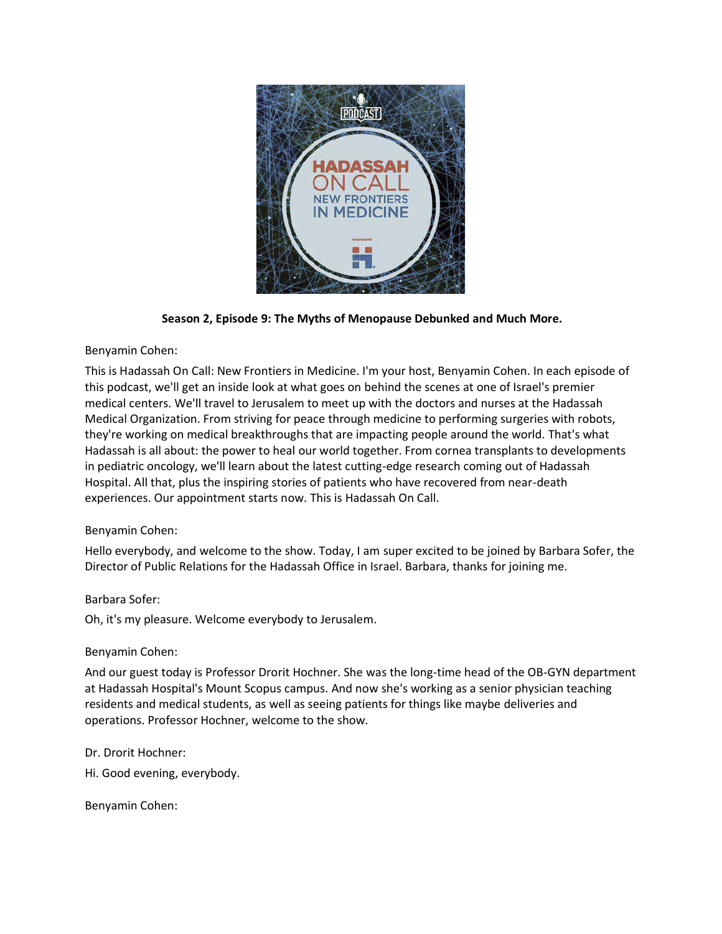

**Season 2, Episode 9: The Myths of Menopause Debunked and Much More.**

# Benyamin Cohen:

This is Hadassah On Call: New Frontiers in Medicine. I'm your host, Benyamin Cohen. In each episode of this podcast, we'll get an inside look at what goes on behind the scenes at one of Israel's premier medical centers. We'll travel to Jerusalem to meet up with the doctors and nurses at the Hadassah Medical Organization. From striving for peace through medicine to performing surgeries with robots, they're working on medical breakthroughs that are impacting people around the world. That's what Hadassah is all about: the power to heal our world together. From cornea transplants to developments in pediatric oncology, we'll learn about the latest cutting-edge research coming out of Hadassah Hospital. All that, plus the inspiring stories of patients who have recovered from near-death experiences. Our appointment starts now. This is Hadassah On Call.

# Benyamin Cohen:

Hello everybody, and welcome to the show. Today, I am super excited to be joined by Barbara Sofer, the Director of Public Relations for the Hadassah Office in Israel. Barbara, thanks for joining me.

## Barbara Sofer:

Oh, it's my pleasure. Welcome everybody to Jerusalem.

## Benyamin Cohen:

And our guest today is Professor Drorit Hochner. She was the long-time head of the OB-GYN department at Hadassah Hospital's Mount Scopus campus. And now she's working as a senior physician teaching residents and medical students, as well as seeing patients for things like maybe deliveries and operations. Professor Hochner, welcome to the show.

Dr. Drorit Hochner:

Hi. Good evening, everybody.

Benyamin Cohen: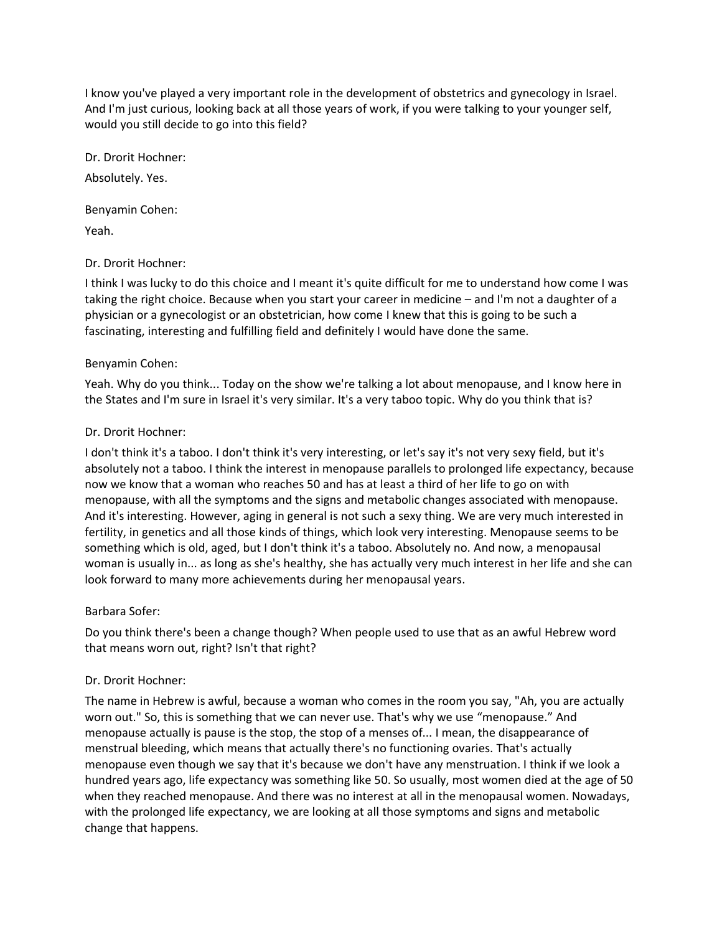I know you've played a very important role in the development of obstetrics and gynecology in Israel. And I'm just curious, looking back at all those years of work, if you were talking to your younger self, would you still decide to go into this field?

Dr. Drorit Hochner:

Absolutely. Yes.

Benyamin Cohen: Yeah.

## Dr. Drorit Hochner:

I think I was lucky to do this choice and I meant it's quite difficult for me to understand how come I was taking the right choice. Because when you start your career in medicine – and I'm not a daughter of a physician or a gynecologist or an obstetrician, how come I knew that this is going to be such a fascinating, interesting and fulfilling field and definitely I would have done the same.

## Benyamin Cohen:

Yeah. Why do you think... Today on the show we're talking a lot about menopause, and I know here in the States and I'm sure in Israel it's very similar. It's a very taboo topic. Why do you think that is?

# Dr. Drorit Hochner:

I don't think it's a taboo. I don't think it's very interesting, or let's say it's not very sexy field, but it's absolutely not a taboo. I think the interest in menopause parallels to prolonged life expectancy, because now we know that a woman who reaches 50 and has at least a third of her life to go on with menopause, with all the symptoms and the signs and metabolic changes associated with menopause. And it's interesting. However, aging in general is not such a sexy thing. We are very much interested in fertility, in genetics and all those kinds of things, which look very interesting. Menopause seems to be something which is old, aged, but I don't think it's a taboo. Absolutely no. And now, a menopausal woman is usually in... as long as she's healthy, she has actually very much interest in her life and she can look forward to many more achievements during her menopausal years.

## Barbara Sofer:

Do you think there's been a change though? When people used to use that as an awful Hebrew word that means worn out, right? Isn't that right?

## Dr. Drorit Hochner:

The name in Hebrew is awful, because a woman who comes in the room you say, "Ah, you are actually worn out." So, this is something that we can never use. That's why we use "menopause." And menopause actually is pause is the stop, the stop of a menses of... I mean, the disappearance of menstrual bleeding, which means that actually there's no functioning ovaries. That's actually menopause even though we say that it's because we don't have any menstruation. I think if we look a hundred years ago, life expectancy was something like 50. So usually, most women died at the age of 50 when they reached menopause. And there was no interest at all in the menopausal women. Nowadays, with the prolonged life expectancy, we are looking at all those symptoms and signs and metabolic change that happens.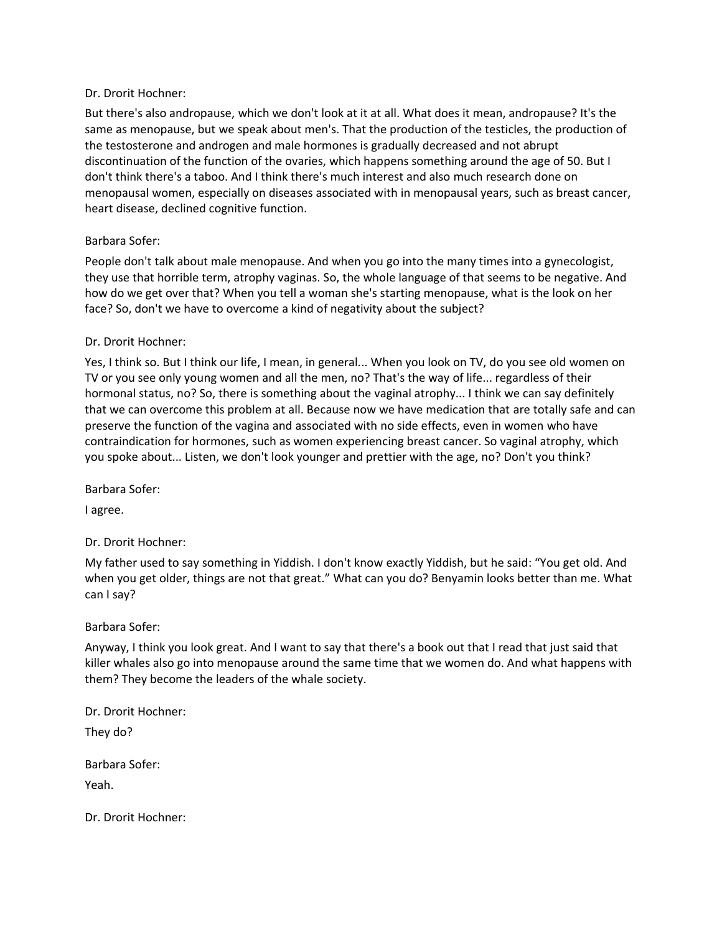#### Dr. Drorit Hochner:

But there's also andropause, which we don't look at it at all. What does it mean, andropause? It's the same as menopause, but we speak about men's. That the production of the testicles, the production of the testosterone and androgen and male hormones is gradually decreased and not abrupt discontinuation of the function of the ovaries, which happens something around the age of 50. But I don't think there's a taboo. And I think there's much interest and also much research done on menopausal women, especially on diseases associated with in menopausal years, such as breast cancer, heart disease, declined cognitive function.

## Barbara Sofer:

People don't talk about male menopause. And when you go into the many times into a gynecologist, they use that horrible term, atrophy vaginas. So, the whole language of that seems to be negative. And how do we get over that? When you tell a woman she's starting menopause, what is the look on her face? So, don't we have to overcome a kind of negativity about the subject?

#### Dr. Drorit Hochner:

Yes, I think so. But I think our life, I mean, in general... When you look on TV, do you see old women on TV or you see only young women and all the men, no? That's the way of life... regardless of their hormonal status, no? So, there is something about the vaginal atrophy... I think we can say definitely that we can overcome this problem at all. Because now we have medication that are totally safe and can preserve the function of the vagina and associated with no side effects, even in women who have contraindication for hormones, such as women experiencing breast cancer. So vaginal atrophy, which you spoke about... Listen, we don't look younger and prettier with the age, no? Don't you think?

Barbara Sofer:

I agree.

Dr. Drorit Hochner:

My father used to say something in Yiddish. I don't know exactly Yiddish, but he said: "You get old. And when you get older, things are not that great." What can you do? Benyamin looks better than me. What can I say?

#### Barbara Sofer:

Anyway, I think you look great. And I want to say that there's a book out that I read that just said that killer whales also go into menopause around the same time that we women do. And what happens with them? They become the leaders of the whale society.

Dr. Drorit Hochner:

They do?

Barbara Sofer:

Yeah.

Dr. Drorit Hochner: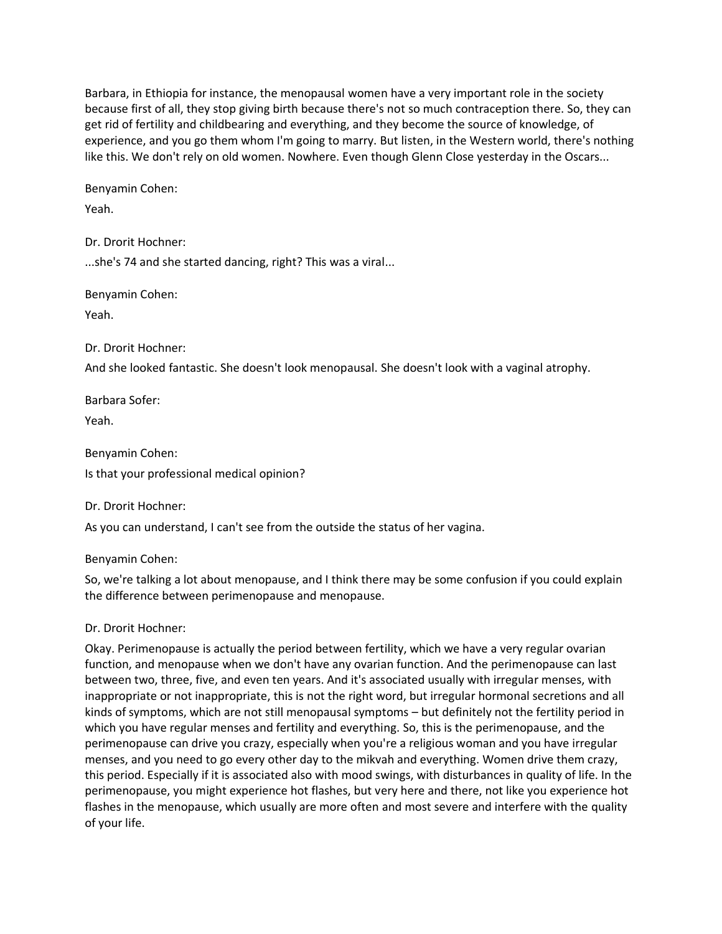Barbara, in Ethiopia for instance, the menopausal women have a very important role in the society because first of all, they stop giving birth because there's not so much contraception there. So, they can get rid of fertility and childbearing and everything, and they become the source of knowledge, of experience, and you go them whom I'm going to marry. But listen, in the Western world, there's nothing like this. We don't rely on old women. Nowhere. Even though Glenn Close yesterday in the Oscars...

Benyamin Cohen:

Yeah.

Dr. Drorit Hochner: ...she's 74 and she started dancing, right? This was a viral...

Benyamin Cohen: Yeah.

Dr. Drorit Hochner:

And she looked fantastic. She doesn't look menopausal. She doesn't look with a vaginal atrophy.

Barbara Sofer:

Yeah.

Benyamin Cohen: Is that your professional medical opinion?

Dr. Drorit Hochner:

As you can understand, I can't see from the outside the status of her vagina.

Benyamin Cohen:

So, we're talking a lot about menopause, and I think there may be some confusion if you could explain the difference between perimenopause and menopause.

# Dr. Drorit Hochner:

Okay. Perimenopause is actually the period between fertility, which we have a very regular ovarian function, and menopause when we don't have any ovarian function. And the perimenopause can last between two, three, five, and even ten years. And it's associated usually with irregular menses, with inappropriate or not inappropriate, this is not the right word, but irregular hormonal secretions and all kinds of symptoms, which are not still menopausal symptoms – but definitely not the fertility period in which you have regular menses and fertility and everything. So, this is the perimenopause, and the perimenopause can drive you crazy, especially when you're a religious woman and you have irregular menses, and you need to go every other day to the mikvah and everything. Women drive them crazy, this period. Especially if it is associated also with mood swings, with disturbances in quality of life. In the perimenopause, you might experience hot flashes, but very here and there, not like you experience hot flashes in the menopause, which usually are more often and most severe and interfere with the quality of your life.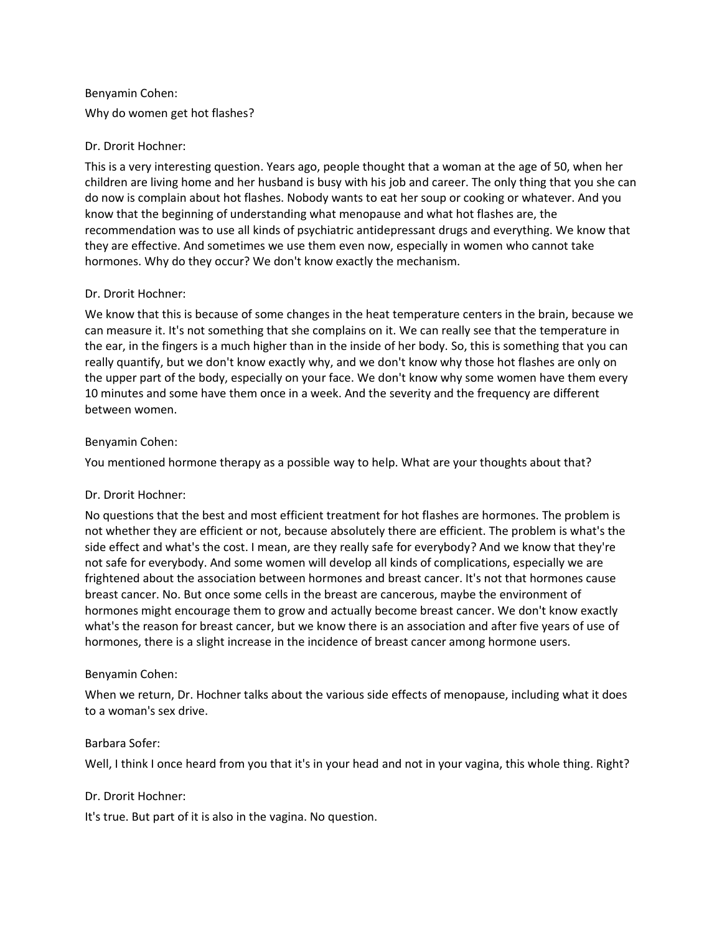# Benyamin Cohen: Why do women get hot flashes?

# Dr. Drorit Hochner:

This is a very interesting question. Years ago, people thought that a woman at the age of 50, when her children are living home and her husband is busy with his job and career. The only thing that you she can do now is complain about hot flashes. Nobody wants to eat her soup or cooking or whatever. And you know that the beginning of understanding what menopause and what hot flashes are, the recommendation was to use all kinds of psychiatric antidepressant drugs and everything. We know that they are effective. And sometimes we use them even now, especially in women who cannot take hormones. Why do they occur? We don't know exactly the mechanism.

## Dr. Drorit Hochner:

We know that this is because of some changes in the heat temperature centers in the brain, because we can measure it. It's not something that she complains on it. We can really see that the temperature in the ear, in the fingers is a much higher than in the inside of her body. So, this is something that you can really quantify, but we don't know exactly why, and we don't know why those hot flashes are only on the upper part of the body, especially on your face. We don't know why some women have them every 10 minutes and some have them once in a week. And the severity and the frequency are different between women.

# Benyamin Cohen:

You mentioned hormone therapy as a possible way to help. What are your thoughts about that?

# Dr. Drorit Hochner:

No questions that the best and most efficient treatment for hot flashes are hormones. The problem is not whether they are efficient or not, because absolutely there are efficient. The problem is what's the side effect and what's the cost. I mean, are they really safe for everybody? And we know that they're not safe for everybody. And some women will develop all kinds of complications, especially we are frightened about the association between hormones and breast cancer. It's not that hormones cause breast cancer. No. But once some cells in the breast are cancerous, maybe the environment of hormones might encourage them to grow and actually become breast cancer. We don't know exactly what's the reason for breast cancer, but we know there is an association and after five years of use of hormones, there is a slight increase in the incidence of breast cancer among hormone users.

# Benyamin Cohen:

When we return, Dr. Hochner talks about the various side effects of menopause, including what it does to a woman's sex drive.

## Barbara Sofer:

Well, I think I once heard from you that it's in your head and not in your vagina, this whole thing. Right?

# Dr. Drorit Hochner:

It's true. But part of it is also in the vagina. No question.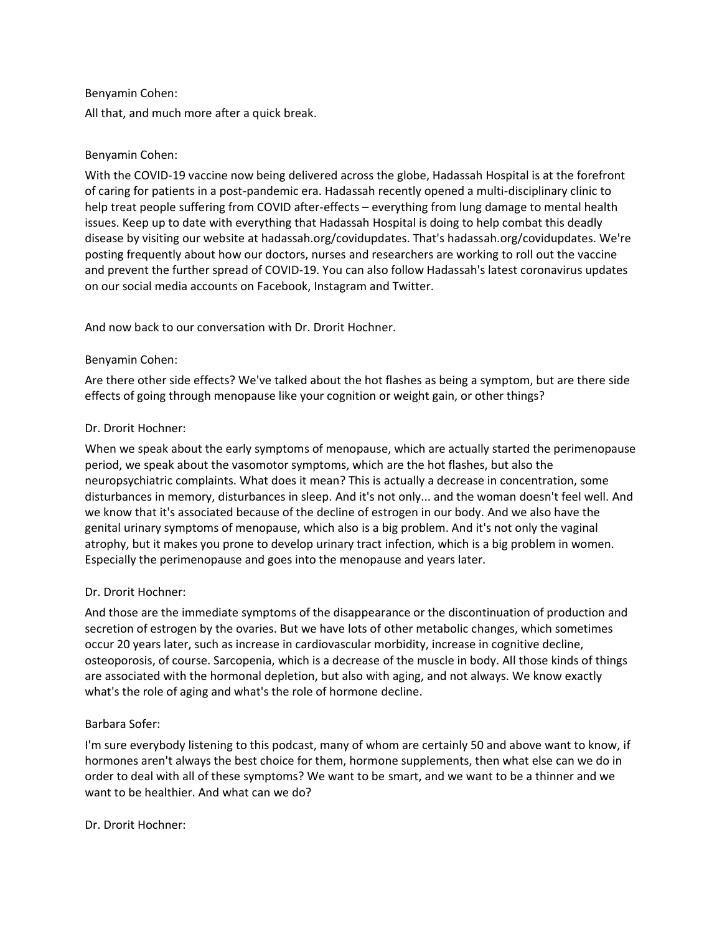## Benyamin Cohen:

All that, and much more after a quick break.

## Benyamin Cohen:

With the COVID-19 vaccine now being delivered across the globe, Hadassah Hospital is at the forefront of caring for patients in a post-pandemic era. Hadassah recently opened a multi-disciplinary clinic to help treat people suffering from COVID after-effects – everything from lung damage to mental health issues. Keep up to date with everything that Hadassah Hospital is doing to help combat this deadly disease by visiting our website at hadassah.org/covidupdates. That's hadassah.org/covidupdates. We're posting frequently about how our doctors, nurses and researchers are working to roll out the vaccine and prevent the further spread of COVID-19. You can also follow Hadassah's latest coronavirus updates on our social media accounts on Facebook, Instagram and Twitter.

And now back to our conversation with Dr. Drorit Hochner.

## Benyamin Cohen:

Are there other side effects? We've talked about the hot flashes as being a symptom, but are there side effects of going through menopause like your cognition or weight gain, or other things?

# Dr. Drorit Hochner:

When we speak about the early symptoms of menopause, which are actually started the perimenopause period, we speak about the vasomotor symptoms, which are the hot flashes, but also the neuropsychiatric complaints. What does it mean? This is actually a decrease in concentration, some disturbances in memory, disturbances in sleep. And it's not only... and the woman doesn't feel well. And we know that it's associated because of the decline of estrogen in our body. And we also have the genital urinary symptoms of menopause, which also is a big problem. And it's not only the vaginal atrophy, but it makes you prone to develop urinary tract infection, which is a big problem in women. Especially the perimenopause and goes into the menopause and years later.

## Dr. Drorit Hochner:

And those are the immediate symptoms of the disappearance or the discontinuation of production and secretion of estrogen by the ovaries. But we have lots of other metabolic changes, which sometimes occur 20 years later, such as increase in cardiovascular morbidity, increase in cognitive decline, osteoporosis, of course. Sarcopenia, which is a decrease of the muscle in body. All those kinds of things are associated with the hormonal depletion, but also with aging, and not always. We know exactly what's the role of aging and what's the role of hormone decline.

## Barbara Sofer:

I'm sure everybody listening to this podcast, many of whom are certainly 50 and above want to know, if hormones aren't always the best choice for them, hormone supplements, then what else can we do in order to deal with all of these symptoms? We want to be smart, and we want to be a thinner and we want to be healthier. And what can we do?

Dr. Drorit Hochner: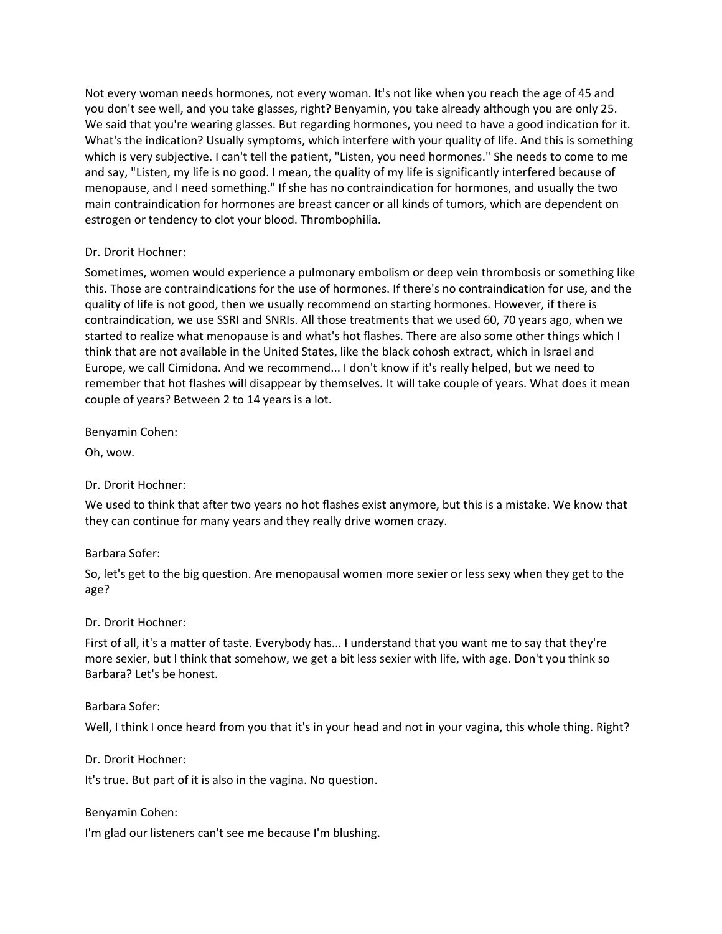Not every woman needs hormones, not every woman. It's not like when you reach the age of 45 and you don't see well, and you take glasses, right? Benyamin, you take already although you are only 25. We said that you're wearing glasses. But regarding hormones, you need to have a good indication for it. What's the indication? Usually symptoms, which interfere with your quality of life. And this is something which is very subjective. I can't tell the patient, "Listen, you need hormones." She needs to come to me and say, "Listen, my life is no good. I mean, the quality of my life is significantly interfered because of menopause, and I need something." If she has no contraindication for hormones, and usually the two main contraindication for hormones are breast cancer or all kinds of tumors, which are dependent on estrogen or tendency to clot your blood. Thrombophilia.

## Dr. Drorit Hochner:

Sometimes, women would experience a pulmonary embolism or deep vein thrombosis or something like this. Those are contraindications for the use of hormones. If there's no contraindication for use, and the quality of life is not good, then we usually recommend on starting hormones. However, if there is contraindication, we use SSRI and SNRIs. All those treatments that we used 60, 70 years ago, when we started to realize what menopause is and what's hot flashes. There are also some other things which I think that are not available in the United States, like the black cohosh extract, which in Israel and Europe, we call Cimidona. And we recommend... I don't know if it's really helped, but we need to remember that hot flashes will disappear by themselves. It will take couple of years. What does it mean couple of years? Between 2 to 14 years is a lot.

Benyamin Cohen:

Oh, wow.

Dr. Drorit Hochner:

We used to think that after two years no hot flashes exist anymore, but this is a mistake. We know that they can continue for many years and they really drive women crazy.

## Barbara Sofer:

So, let's get to the big question. Are menopausal women more sexier or less sexy when they get to the age?

## Dr. Drorit Hochner:

First of all, it's a matter of taste. Everybody has... I understand that you want me to say that they're more sexier, but I think that somehow, we get a bit less sexier with life, with age. Don't you think so Barbara? Let's be honest.

## Barbara Sofer:

Well, I think I once heard from you that it's in your head and not in your vagina, this whole thing. Right?

## Dr. Drorit Hochner:

It's true. But part of it is also in the vagina. No question.

## Benyamin Cohen:

I'm glad our listeners can't see me because I'm blushing.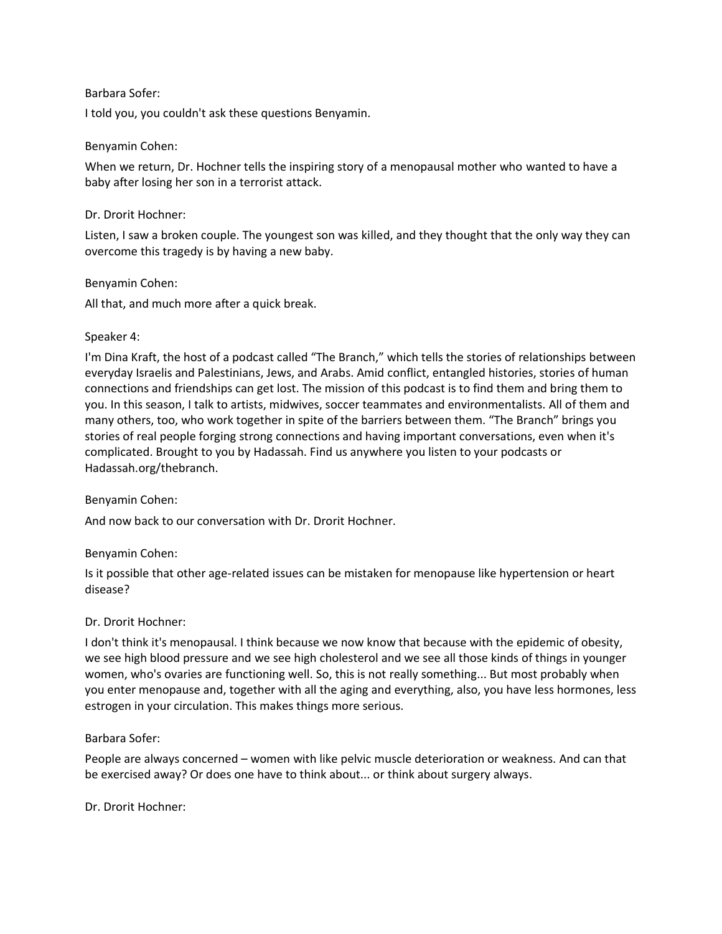#### Barbara Sofer:

I told you, you couldn't ask these questions Benyamin.

#### Benyamin Cohen:

When we return, Dr. Hochner tells the inspiring story of a menopausal mother who wanted to have a baby after losing her son in a terrorist attack.

#### Dr. Drorit Hochner:

Listen, I saw a broken couple. The youngest son was killed, and they thought that the only way they can overcome this tragedy is by having a new baby.

#### Benyamin Cohen:

All that, and much more after a quick break.

#### Speaker 4:

I'm Dina Kraft, the host of a podcast called "The Branch," which tells the stories of relationships between everyday Israelis and Palestinians, Jews, and Arabs. Amid conflict, entangled histories, stories of human connections and friendships can get lost. The mission of this podcast is to find them and bring them to you. In this season, I talk to artists, midwives, soccer teammates and environmentalists. All of them and many others, too, who work together in spite of the barriers between them. "The Branch" brings you stories of real people forging strong connections and having important conversations, even when it's complicated. Brought to you by Hadassah. Find us anywhere you listen to your podcasts or Hadassah.org/thebranch.

## Benyamin Cohen:

And now back to our conversation with Dr. Drorit Hochner.

## Benyamin Cohen:

Is it possible that other age-related issues can be mistaken for menopause like hypertension or heart disease?

#### Dr. Drorit Hochner:

I don't think it's menopausal. I think because we now know that because with the epidemic of obesity, we see high blood pressure and we see high cholesterol and we see all those kinds of things in younger women, who's ovaries are functioning well. So, this is not really something... But most probably when you enter menopause and, together with all the aging and everything, also, you have less hormones, less estrogen in your circulation. This makes things more serious.

#### Barbara Sofer:

People are always concerned – women with like pelvic muscle deterioration or weakness. And can that be exercised away? Or does one have to think about... or think about surgery always.

Dr. Drorit Hochner: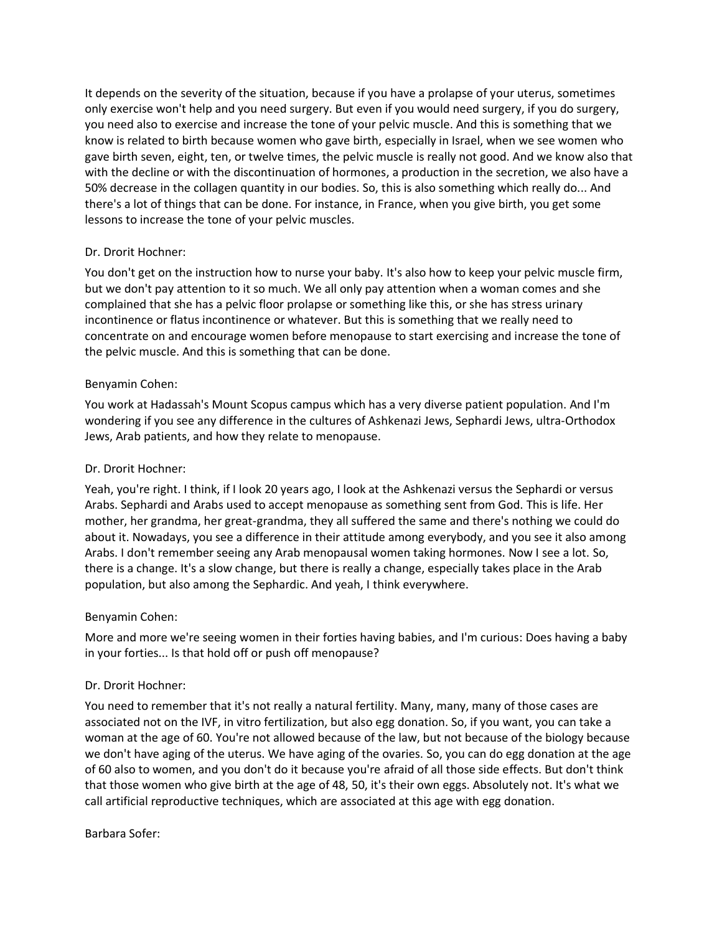It depends on the severity of the situation, because if you have a prolapse of your uterus, sometimes only exercise won't help and you need surgery. But even if you would need surgery, if you do surgery, you need also to exercise and increase the tone of your pelvic muscle. And this is something that we know is related to birth because women who gave birth, especially in Israel, when we see women who gave birth seven, eight, ten, or twelve times, the pelvic muscle is really not good. And we know also that with the decline or with the discontinuation of hormones, a production in the secretion, we also have a 50% decrease in the collagen quantity in our bodies. So, this is also something which really do... And there's a lot of things that can be done. For instance, in France, when you give birth, you get some lessons to increase the tone of your pelvic muscles.

## Dr. Drorit Hochner:

You don't get on the instruction how to nurse your baby. It's also how to keep your pelvic muscle firm, but we don't pay attention to it so much. We all only pay attention when a woman comes and she complained that she has a pelvic floor prolapse or something like this, or she has stress urinary incontinence or flatus incontinence or whatever. But this is something that we really need to concentrate on and encourage women before menopause to start exercising and increase the tone of the pelvic muscle. And this is something that can be done.

#### Benyamin Cohen:

You work at Hadassah's Mount Scopus campus which has a very diverse patient population. And I'm wondering if you see any difference in the cultures of Ashkenazi Jews, Sephardi Jews, ultra-Orthodox Jews, Arab patients, and how they relate to menopause.

#### Dr. Drorit Hochner:

Yeah, you're right. I think, if I look 20 years ago, I look at the Ashkenazi versus the Sephardi or versus Arabs. Sephardi and Arabs used to accept menopause as something sent from God. This is life. Her mother, her grandma, her great-grandma, they all suffered the same and there's nothing we could do about it. Nowadays, you see a difference in their attitude among everybody, and you see it also among Arabs. I don't remember seeing any Arab menopausal women taking hormones. Now I see a lot. So, there is a change. It's a slow change, but there is really a change, especially takes place in the Arab population, but also among the Sephardic. And yeah, I think everywhere.

#### Benyamin Cohen:

More and more we're seeing women in their forties having babies, and I'm curious: Does having a baby in your forties... Is that hold off or push off menopause?

## Dr. Drorit Hochner:

You need to remember that it's not really a natural fertility. Many, many, many of those cases are associated not on the IVF, in vitro fertilization, but also egg donation. So, if you want, you can take a woman at the age of 60. You're not allowed because of the law, but not because of the biology because we don't have aging of the uterus. We have aging of the ovaries. So, you can do egg donation at the age of 60 also to women, and you don't do it because you're afraid of all those side effects. But don't think that those women who give birth at the age of 48, 50, it's their own eggs. Absolutely not. It's what we call artificial reproductive techniques, which are associated at this age with egg donation.

#### Barbara Sofer: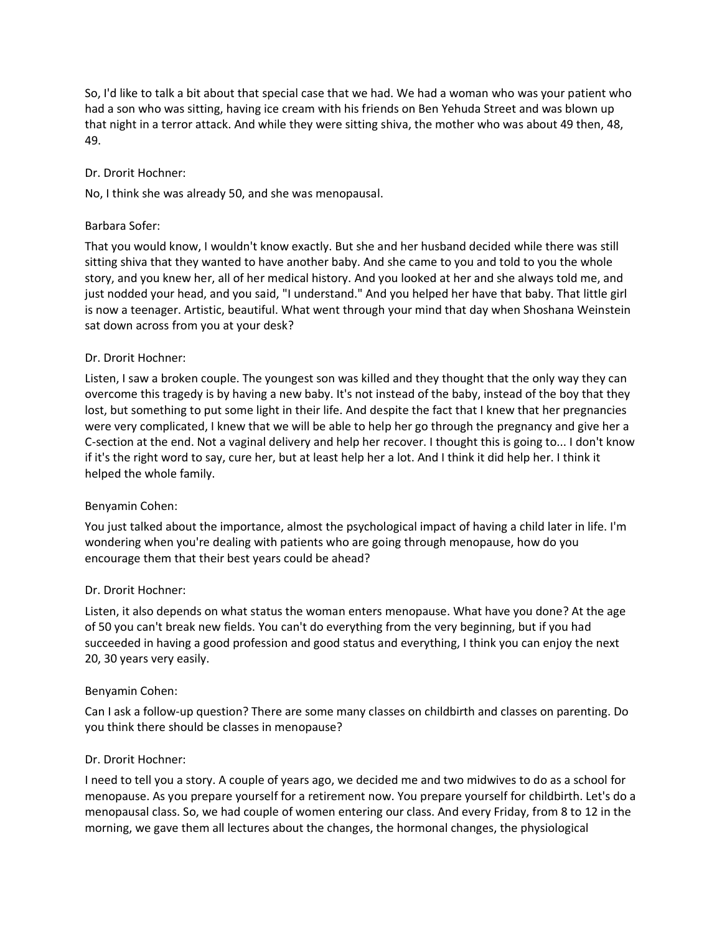So, I'd like to talk a bit about that special case that we had. We had a woman who was your patient who had a son who was sitting, having ice cream with his friends on Ben Yehuda Street and was blown up that night in a terror attack. And while they were sitting shiva, the mother who was about 49 then, 48, 49.

## Dr. Drorit Hochner:

No, I think she was already 50, and she was menopausal.

#### Barbara Sofer:

That you would know, I wouldn't know exactly. But she and her husband decided while there was still sitting shiva that they wanted to have another baby. And she came to you and told to you the whole story, and you knew her, all of her medical history. And you looked at her and she always told me, and just nodded your head, and you said, "I understand." And you helped her have that baby. That little girl is now a teenager. Artistic, beautiful. What went through your mind that day when Shoshana Weinstein sat down across from you at your desk?

#### Dr. Drorit Hochner:

Listen, I saw a broken couple. The youngest son was killed and they thought that the only way they can overcome this tragedy is by having a new baby. It's not instead of the baby, instead of the boy that they lost, but something to put some light in their life. And despite the fact that I knew that her pregnancies were very complicated, I knew that we will be able to help her go through the pregnancy and give her a C-section at the end. Not a vaginal delivery and help her recover. I thought this is going to... I don't know if it's the right word to say, cure her, but at least help her a lot. And I think it did help her. I think it helped the whole family.

#### Benyamin Cohen:

You just talked about the importance, almost the psychological impact of having a child later in life. I'm wondering when you're dealing with patients who are going through menopause, how do you encourage them that their best years could be ahead?

## Dr. Drorit Hochner:

Listen, it also depends on what status the woman enters menopause. What have you done? At the age of 50 you can't break new fields. You can't do everything from the very beginning, but if you had succeeded in having a good profession and good status and everything, I think you can enjoy the next 20, 30 years very easily.

#### Benyamin Cohen:

Can I ask a follow-up question? There are some many classes on childbirth and classes on parenting. Do you think there should be classes in menopause?

#### Dr. Drorit Hochner:

I need to tell you a story. A couple of years ago, we decided me and two midwives to do as a school for menopause. As you prepare yourself for a retirement now. You prepare yourself for childbirth. Let's do a menopausal class. So, we had couple of women entering our class. And every Friday, from 8 to 12 in the morning, we gave them all lectures about the changes, the hormonal changes, the physiological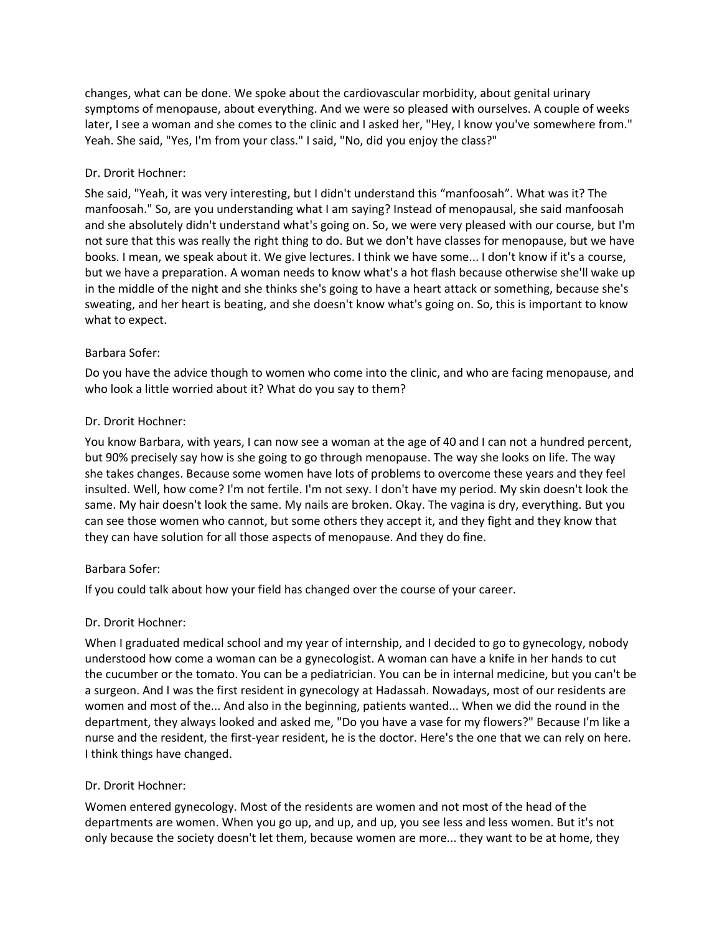changes, what can be done. We spoke about the cardiovascular morbidity, about genital urinary symptoms of menopause, about everything. And we were so pleased with ourselves. A couple of weeks later, I see a woman and she comes to the clinic and I asked her, "Hey, I know you've somewhere from." Yeah. She said, "Yes, I'm from your class." I said, "No, did you enjoy the class?"

## Dr. Drorit Hochner:

She said, "Yeah, it was very interesting, but I didn't understand this "manfoosah". What was it? The manfoosah." So, are you understanding what I am saying? Instead of menopausal, she said manfoosah and she absolutely didn't understand what's going on. So, we were very pleased with our course, but I'm not sure that this was really the right thing to do. But we don't have classes for menopause, but we have books. I mean, we speak about it. We give lectures. I think we have some... I don't know if it's a course, but we have a preparation. A woman needs to know what's a hot flash because otherwise she'll wake up in the middle of the night and she thinks she's going to have a heart attack or something, because she's sweating, and her heart is beating, and she doesn't know what's going on. So, this is important to know what to expect.

## Barbara Sofer:

Do you have the advice though to women who come into the clinic, and who are facing menopause, and who look a little worried about it? What do you say to them?

# Dr. Drorit Hochner:

You know Barbara, with years, I can now see a woman at the age of 40 and I can not a hundred percent, but 90% precisely say how is she going to go through menopause. The way she looks on life. The way she takes changes. Because some women have lots of problems to overcome these years and they feel insulted. Well, how come? I'm not fertile. I'm not sexy. I don't have my period. My skin doesn't look the same. My hair doesn't look the same. My nails are broken. Okay. The vagina is dry, everything. But you can see those women who cannot, but some others they accept it, and they fight and they know that they can have solution for all those aspects of menopause. And they do fine.

## Barbara Sofer:

If you could talk about how your field has changed over the course of your career.

## Dr. Drorit Hochner:

When I graduated medical school and my year of internship, and I decided to go to gynecology, nobody understood how come a woman can be a gynecologist. A woman can have a knife in her hands to cut the cucumber or the tomato. You can be a pediatrician. You can be in internal medicine, but you can't be a surgeon. And I was the first resident in gynecology at Hadassah. Nowadays, most of our residents are women and most of the... And also in the beginning, patients wanted... When we did the round in the department, they always looked and asked me, "Do you have a vase for my flowers?" Because I'm like a nurse and the resident, the first-year resident, he is the doctor. Here's the one that we can rely on here. I think things have changed.

## Dr. Drorit Hochner:

Women entered gynecology. Most of the residents are women and not most of the head of the departments are women. When you go up, and up, and up, you see less and less women. But it's not only because the society doesn't let them, because women are more... they want to be at home, they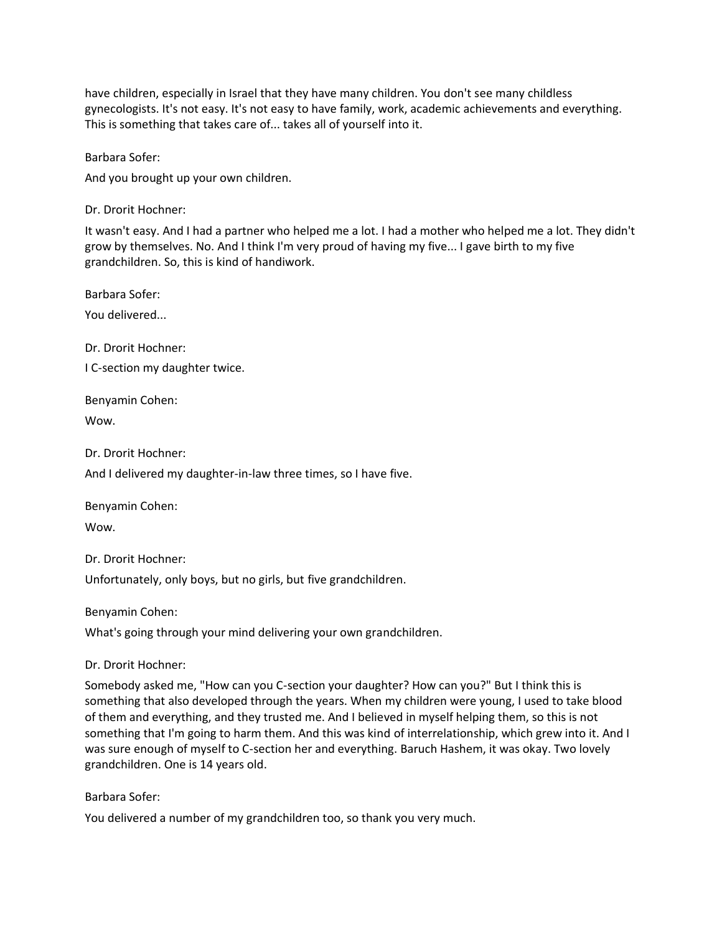have children, especially in Israel that they have many children. You don't see many childless gynecologists. It's not easy. It's not easy to have family, work, academic achievements and everything. This is something that takes care of... takes all of yourself into it.

Barbara Sofer:

And you brought up your own children.

Dr. Drorit Hochner:

It wasn't easy. And I had a partner who helped me a lot. I had a mother who helped me a lot. They didn't grow by themselves. No. And I think I'm very proud of having my five... I gave birth to my five grandchildren. So, this is kind of handiwork.

Barbara Sofer:

You delivered...

Dr. Drorit Hochner: I C-section my daughter twice.

Benyamin Cohen:

Wow.

Dr. Drorit Hochner:

And I delivered my daughter-in-law three times, so I have five.

Benyamin Cohen:

Wow.

Dr. Drorit Hochner:

Unfortunately, only boys, but no girls, but five grandchildren.

Benyamin Cohen:

What's going through your mind delivering your own grandchildren.

Dr. Drorit Hochner:

Somebody asked me, "How can you C-section your daughter? How can you?" But I think this is something that also developed through the years. When my children were young, I used to take blood of them and everything, and they trusted me. And I believed in myself helping them, so this is not something that I'm going to harm them. And this was kind of interrelationship, which grew into it. And I was sure enough of myself to C-section her and everything. Baruch Hashem, it was okay. Two lovely grandchildren. One is 14 years old.

Barbara Sofer:

You delivered a number of my grandchildren too, so thank you very much.